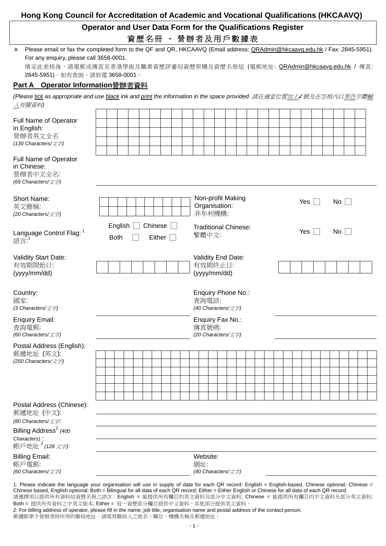## **Hong Kong Council for Accreditation of Academic and Vocational Qualifications (HKCAAVQ)**

## **Operator and User Data Form for the Qualifications Register**  資歷名冊 **-** 營辦者及用戶數據表

| * Please email or fax the completed form to the QF and QR, HKCAAVQ (Email address: QRAdmin@hkcaavq.edu.hk / Fax: 2845-5951). |
|------------------------------------------------------------------------------------------------------------------------------|
| For any enquiry, please call 3658-0001.                                                                                      |
|                                                                                                                              |

填妥此表格後,請電郵或傳真至香港學術及職業資歷評審局資歷架構及資歷名冊組 (電郵地址: <u>QRAdmin@hkcaavq.edu.hk</u> / 傳真: 2845-5951)。如有查詢,請致電 3658-0001。

## **Part A Operator Information**營辦者資料

*(Please tick as appropriate and use black ink and print the information in the space provided 請在適當位置加上√號及在空格內以黑色字體輸* 入有關資料*)* 

| Full Name of Operator<br>in English:<br>營辦者英文全名<br>(130 Characters/文字)                                                                                                                                                                                                                                        |                                                                    |  |  |  |  |  |  |  |                                                   |                                                                  |                                                   |  |  |  |  |  |  |  |  |  |  |  |  |  |  |  |  |
|---------------------------------------------------------------------------------------------------------------------------------------------------------------------------------------------------------------------------------------------------------------------------------------------------------------|--------------------------------------------------------------------|--|--|--|--|--|--|--|---------------------------------------------------|------------------------------------------------------------------|---------------------------------------------------|--|--|--|--|--|--|--|--|--|--|--|--|--|--|--|--|
| Full Name of Operator<br>in Chinese:<br>營辦者中文全名:<br>(65 Characters/文字)                                                                                                                                                                                                                                        |                                                                    |  |  |  |  |  |  |  |                                                   |                                                                  |                                                   |  |  |  |  |  |  |  |  |  |  |  |  |  |  |  |  |
| Short Name:<br>英文簡稱:<br>(20 Characters/文字)                                                                                                                                                                                                                                                                    |                                                                    |  |  |  |  |  |  |  |                                                   | Non-profit Making<br>Yes $\Box$<br>No<br>Organisation:<br>非牟利機構: |                                                   |  |  |  |  |  |  |  |  |  |  |  |  |  |  |  |  |
| Language Control Flag: 1<br>語言: <sup>1</sup>                                                                                                                                                                                                                                                                  | English<br>Chinese<br>$\mathbb{R}$<br>Either $\Box$<br><b>Both</b> |  |  |  |  |  |  |  | <b>Traditional Chinese:</b><br>Yes<br>No<br>繁體中文: |                                                                  |                                                   |  |  |  |  |  |  |  |  |  |  |  |  |  |  |  |  |
| Validity Start Date:<br>有效期開始日:<br>(yyyy/mm/dd)                                                                                                                                                                                                                                                               |                                                                    |  |  |  |  |  |  |  | Validity End Date:<br>有效期終止日:<br>(yyyy/mm/dd)     |                                                                  |                                                   |  |  |  |  |  |  |  |  |  |  |  |  |  |  |  |  |
| Country:<br>國家:<br>(3 Characters/文字)                                                                                                                                                                                                                                                                          |                                                                    |  |  |  |  |  |  |  |                                                   |                                                                  | Enquiry Phone No.:<br>查詢電話:<br>(40 Characters/文字) |  |  |  |  |  |  |  |  |  |  |  |  |  |  |  |  |
| <b>Enquiry Email:</b><br>查詢電郵:<br>(60 Characters/文字)                                                                                                                                                                                                                                                          |                                                                    |  |  |  |  |  |  |  |                                                   |                                                                  | Enquiry Fax No.:<br>傳真號碼:<br>(20 Characters/文字)   |  |  |  |  |  |  |  |  |  |  |  |  |  |  |  |  |
| Postal Address (English):<br>郵遞地址 (英文):<br>(250 Characters/文字)                                                                                                                                                                                                                                                |                                                                    |  |  |  |  |  |  |  |                                                   |                                                                  |                                                   |  |  |  |  |  |  |  |  |  |  |  |  |  |  |  |  |
| Postal Address (Chinese):<br>郵遞地址 (中文):<br>(80 Characters/文字.                                                                                                                                                                                                                                                 |                                                                    |  |  |  |  |  |  |  |                                                   |                                                                  |                                                   |  |  |  |  |  |  |  |  |  |  |  |  |  |  |  |  |
| Billing Address <sup>2</sup> (400<br>Characters):<br>帳戶地址 <sup>2</sup> (128 文字):                                                                                                                                                                                                                              |                                                                    |  |  |  |  |  |  |  |                                                   |                                                                  |                                                   |  |  |  |  |  |  |  |  |  |  |  |  |  |  |  |  |
| <b>Billing Email:</b><br>帳戶電郵:<br>(60 Characters/文字)                                                                                                                                                                                                                                                          |                                                                    |  |  |  |  |  |  |  |                                                   | 網址:                                                              | Website:<br>(40 Characters/文字)                    |  |  |  |  |  |  |  |  |  |  |  |  |  |  |  |  |
| 1: Please indicate the language your organisation will use in supply of data for each QR record: English = English-based, Chinese optional; Chinese =<br>Chinese based, English optional; Both = Bilingual for all data of each QR record; Either = Either English or Chinese for all data of each QR record. |                                                                    |  |  |  |  |  |  |  |                                                   |                                                                  |                                                   |  |  |  |  |  |  |  |  |  |  |  |  |  |  |  |  |

請選擇用以提供所有資料給資歷名冊之語言: English = 能提供所有欄目的英文資料及部分中文資料; Chinese = 能提供所有欄目的中文資料及部分英文資料; Both = 提供所有資料之中英文版本; Either = 每一資歷部分欄目提供中文資料,其他部分提供英文資料。

2: For billing address of operator, please fill in the name, job title, organisation name and postal address of the contact person. 郵遞帳單予營辦者時所用的聯絡地址。請填寫聯絡人之姓名、職位、機構名稱及郵遞地址。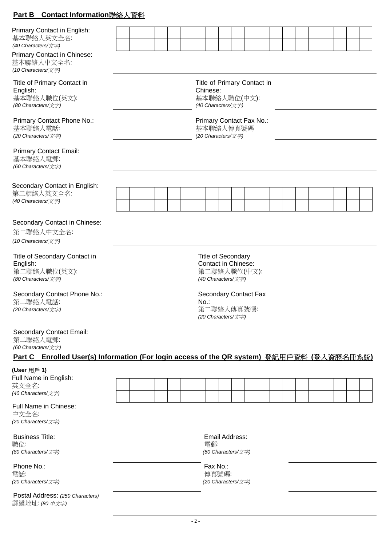## **Part B Contact Information**聯絡人資料

| Primary Contact in English:<br>基本聯絡人英文全名:<br>(40 Characters/文字)<br>Primary Contact in Chinese:<br>基本聯絡人中文全名:<br>(10 Characters/文字) |                                                                                               |  |  |  |  |  |                                                                               |                   |  |                                                                  |  |  |  |  |  |  |  |  |  |  |
|------------------------------------------------------------------------------------------------------------------------------------|-----------------------------------------------------------------------------------------------|--|--|--|--|--|-------------------------------------------------------------------------------|-------------------|--|------------------------------------------------------------------|--|--|--|--|--|--|--|--|--|--|
| Title of Primary Contact in<br>English:<br>基本聯絡人職位(英文):<br>(80 Characters/文字)                                                      |                                                                                               |  |  |  |  |  | Title of Primary Contact in<br>Chinese:<br>基本聯絡人職位(中文):<br>(40 Characters/文字) |                   |  |                                                                  |  |  |  |  |  |  |  |  |  |  |
| Primary Contact Phone No.:<br>基本聯絡人電話:<br>(20 Characters/文字)                                                                       |                                                                                               |  |  |  |  |  |                                                                               |                   |  | Primary Contact Fax No.:<br>基本聯絡人傳真號碼<br>(20 Characters/文字)      |  |  |  |  |  |  |  |  |  |  |
| <b>Primary Contact Email:</b><br>基本聯絡人電郵:<br>(60 Characters/文字)                                                                    |                                                                                               |  |  |  |  |  |                                                                               |                   |  |                                                                  |  |  |  |  |  |  |  |  |  |  |
| Secondary Contact in English:<br>第二聯絡人英文全名:<br>(40 Characters/文字)                                                                  |                                                                                               |  |  |  |  |  |                                                                               |                   |  |                                                                  |  |  |  |  |  |  |  |  |  |  |
| Secondary Contact in Chinese:<br>第二聯絡人中文全名:<br>(10 Characters/文字)                                                                  |                                                                                               |  |  |  |  |  |                                                                               |                   |  |                                                                  |  |  |  |  |  |  |  |  |  |  |
| Title of Secondary Contact in<br>English:<br>第二聯絡人職位(英文):<br>(80 Characters/文字)                                                    | <b>Title of Secondary</b><br><b>Contact in Chinese:</b><br>第二聯絡人職位(中文):<br>(40 Characters/文字) |  |  |  |  |  |                                                                               |                   |  |                                                                  |  |  |  |  |  |  |  |  |  |  |
| Secondary Contact Phone No.:<br>第二聯絡人電話:<br>(20 Characters/文字)                                                                     |                                                                                               |  |  |  |  |  | $No.$ :                                                                       |                   |  | <b>Secondary Contact Fax</b><br>第二聯絡人傳真號碼:<br>(20 Characters/文字) |  |  |  |  |  |  |  |  |  |  |
| <b>Secondary Contact Email:</b><br>第二聯絡人電郵:<br>(60 Characters/文字)                                                                  |                                                                                               |  |  |  |  |  |                                                                               |                   |  |                                                                  |  |  |  |  |  |  |  |  |  |  |
| Part C Enrolled User(s) Information (For login access of the QR system) 登記用戶資料 (登入資歷名冊系統)                                          |                                                                                               |  |  |  |  |  |                                                                               |                   |  |                                                                  |  |  |  |  |  |  |  |  |  |  |
| (User 用戶 1)<br>Full Name in English:<br>英文全名:<br>(40 Characters/文字)                                                                |                                                                                               |  |  |  |  |  |                                                                               |                   |  |                                                                  |  |  |  |  |  |  |  |  |  |  |
| Full Name in Chinese:<br>中文全名:<br>(20 Characters/文字)                                                                               |                                                                                               |  |  |  |  |  |                                                                               |                   |  |                                                                  |  |  |  |  |  |  |  |  |  |  |
| <b>Business Title:</b><br>職位:<br>(80 Characters/文字)                                                                                |                                                                                               |  |  |  |  |  |                                                                               | 電郵:               |  | Email Address:<br>(60 Characters/文字)                             |  |  |  |  |  |  |  |  |  |  |
| Phone No.:<br>電話:<br>(20 Characters/文字)                                                                                            |                                                                                               |  |  |  |  |  |                                                                               | Fax No.:<br>傳真號碼: |  | (20 Characters/文字)                                               |  |  |  |  |  |  |  |  |  |  |
| Postal Address: (250 Characters)<br>郵遞地址: (80 中文字)                                                                                 |                                                                                               |  |  |  |  |  |                                                                               |                   |  |                                                                  |  |  |  |  |  |  |  |  |  |  |